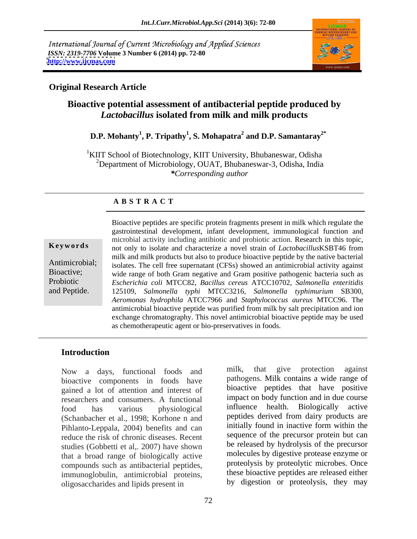International Journal of Current Microbiology and Applied Sciences *ISSN: 2319-7706* **Volume 3 Number 6 (2014) pp. 72-80 <http://www.ijcmas.com>**



### **Original Research Article**

# **Bioactive potential assessment of antibacterial peptide produced by**  *Lactobacillus* **isolated from milk and milk products**

### $\mathbf{D}.\mathbf{P}.$  Mohanty $^1$ ,  $\mathbf{P}.$  Tripathy $^1$ ,  $\mathbf{S}.$  Mohapatra $^2$  and  $\mathbf{D}.\mathbf{P}.$  Samantaray $^{2^*}$  **and D.P. Samantaray2\***

<sup>1</sup>KIIT School of Biotechnology, KIIT University, Bhubaneswar, Odisha <sup>2</sup>Department of Microbiology, OUAT, Bhubaneswar-3, Odisha, India *\*Corresponding author* 

### **A B S T R A C T**

**Keywords** not only to isolate and characterize a novel strain of *Lactobacillus*KSBT46 from Antimicrobial;<br>isolates. The cell free supernatant (CFSs) showed an antimicrobial activity against Bioactive; wide range of both Gram negative and Gram positive pathogenic bacteria such as Probiotic *Escherichia coli* MTCC82, *Bacillus cereus* ATCC10702, *Salmonella enteritidis* Bioactive peptides are specific protein fragments present in milk which regulate the<br>gastrointestinal development, infant development, immunological function and<br>microbial activity including antibiotic and probiotic action gastrointestinal development, infant development, immunological function and microbial activity including antibiotic and probiotic action. Research in this topic, milk and milk products but also to produce bioactive peptide by the native bacterial 125109, *Salmonella typhi* MTCC3216, *Salmonella typhimurium* SB300, *Aeromonas hydrophila* ATCC7966 and *Staphylococcus aureus* MTCC96. The antimicrobial bioactive peptide was purified from milk by salt precipitation and ion exchange chromatography. This novel antimicrobial bioactive peptide may be used as chemotherapeutic agent or bio-preservatives in foods.

### **Introduction**

bioactive components in foods have gained a lot of attention and interest of researchers and consumers. A functional impact on body function and in due course<br>food has various physiological influence health. Biologically active food has various physiological (Schanbacher et al., 1998; Korhone n and Pihlanto-Leppala, 2004) benefits and can reduce the risk of chronic diseases. Recent studies (Gobbetti et al., 2007) have shown that a broad range of biologically active compounds such as antibacterial peptides, immunoglobulin, antimicrobial proteins, oligosaccharides and lipids present in

Now a days, functional foods and milk, that give protection against milk, that give protection against pathogens. Milk contains a wide range of bioactive peptides that have positive impact on body function and in due course influence health. Biologically active peptides derived from dairy products are initially found in inactive form within the sequence of the precursor protein but can be released by hydrolysis of the precursor molecules by digestive protease enzyme or proteolysis by proteolytic microbes. Once these bioactive peptides are released either by digestion or proteolysis, they may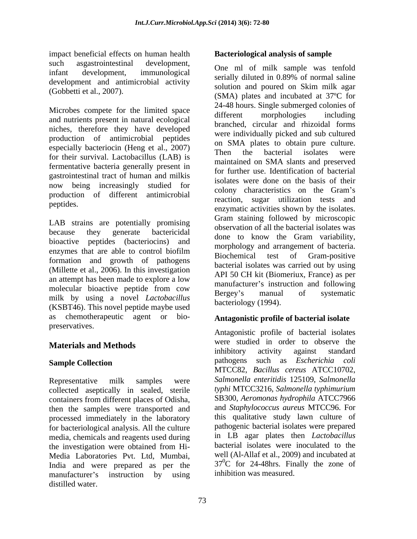impact beneficial effects on human health **Bacteriological analysis of sample** such asgastrointestinal development,  $Q_{\text{max}}$  of milk complexives topfold infant development, immunological serially diluted in 0.89% of normal saline development and antimicrobial activity

Microbes compete for the limited space<br>different morphologies including and nutrients present in natural ecological niches, therefore they have developed production of antimicrobial peptides especially bacteriocin (Heng et al., 2007)  $\frac{60 \text{ SMA}}{200 \text{ H}}$  here the bacterial isolates were for their survival. Lactobacillus (LAB) is fermentative bacteria generally present in gastrointestinal tract of human and milkis now being increasingly studied for production of different antimicrobial

LAB strains are potentially promising because they generate bactericidal done to know the Gram variability. bioactive peptides (bacteriocins) and<br>enzymes that are able to control biofilm formation and growth of pathogens (Millette et al., 2006). In this investigation an attempt has been made to explore a low molecular bioactive peptide from cow<br>
Hergey's manual of systematic milk by using a novel *Lactobacillus*  (KSBT46). This novel peptide maybe used as chemotherapeutic agent or bio- **Antagonistic profile of bacterial isolate** preservatives.

Representative milk samples were *Salmonella enteritidis* 125109, *Salmonella*  collected aseptically in sealed, sterile containers from different places of Odisha, then the samples were transported and processed immediately in the laboratory for bacteriological analysis. All the culture media, chemicals and reagents used during the investigation were obtained from Hi- Media Laboratories Pvt. Ltd, Mumbai, India and were prepared as per the manufacturer's instruction by using

(Gobbetti et al., 2007). (SMA) plates and incubated at 37ºC for peptides.<br>
enzymatic activities shown by the isolates. enzymes that are able to control biofilm<br>
piochomical test of Gram positive rieque bacteriological meta-con-human habith **Statistic Constrained bacteriological analysis of sample<br>
infinite angle of samples and the comparison of the controller and analysis of normal samples and the controller in th** One ml of milk sample was tenfold serially diluted in 0.89% of normal saline solution and poured on Skim milk agar 24-48 hours. Single submerged colonies of different morphologies including branched, circular and rhizoidal forms were individually picked and sub cultured on SMA plates to obtain pure culture. Then the bacterial isolates were maintained on SMA slants and preserved for further use. Identification of bacterial isolates were done on the basis of their colony characteristics on the Gram's reaction, sugar utilization tests and Gram staining followed by microscopic observation of all the bacterial isolates was done to know the Gram variability, morphology and arrangement of bacteria. Biochemical test of Gram-positive bacterial isolates was carried out by using API 50 CH kit (Biomeriux, France) as per manufacturer's instruction and following Bergey's manual of systematic bacteriology (1994).

**Materials and Methods** were studied in order to observe the inhibitory activity against standard **Sample Collection Sample Collection Sample Collection Sample Collection Sample Collection Sample Collection** Antagonistic profile of bacterial isolates were studied in order to observe the inhibitory activity against standard pathogens such as *Escherichia coli* MTCC82, *Bacillus cereus* ATCC10702, *typhi* MTCC3216, *Salmonella typhimurium* SB300, *Aeromonas hydrophila* ATCC7966 and *Staphylococcus aureus* MTCC96. For this qualitative study lawn culture of pathogenic bacterial isolates were prepared in LB agar plates then *Lactobacillus* bacterial isolates were inoculated to the well (Al-Allaf et al., 2009) and incubated at  $37^0C$  for 24-48hrs. Finally the zone of inhibition was measured.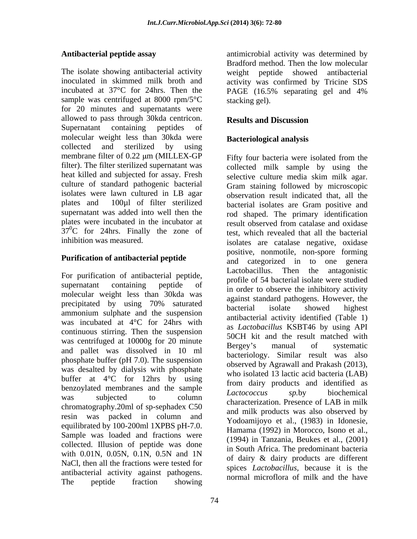The isolate showing antibacterial activity weight peptide showed antibacterial inoculated in skimmed milk broth and activity was confirmed by Tricine SDS incubated at 37°C for 24hrs. Then the PAGE (16.5% separating gel and 4% sample was centrifuged at 8000 rpm/5°C for 20 minutes and supernatants were allowed to pass through 30kda centricon. Results and Discussion Supernatant containing peptides of molecular weight less than 30kda were collected and sterilized by using membrane filter of 0.22 µm (MILLEX-GP Fifty four bacteria were isolated from the filter). The filter sterilized supernatant was heat killed and subjected for assay. Fresh selective culture media skim milk agar. culture of standard pathogenic bacterial plates and 100µl of filter sterilized bacterial isolates are Gram positive and  $37^0$ C for 24hrs. Finally the zone of inhibition was measured.

# **Purification of antibacterial peptide**

For purification of antibacterial peptide, molecular weight less than 30kda was precipitated by using 70% saturated<br>ammonium sulphate and the suspension was incubated at 4°C for 24hrs with continuous stirring. Then the suspension was centrifuged at 10000g for 20 minute<br>Bergey's manual of systematic and pallet was dissolved in 10 ml phosphate buffer (pH 7.0). The suspension was desalted by dialysis with phosphate buffer at 4°C for 12hrs by using benzoylated membranes and the sample<br>Lactococcus sp.by biochemical was subjected to column<br>characterization. Presence of LAB in milk<br>chromatography.20ml of sp-sephadex C50 resin was packed in column and equilibrated by 100-200ml 1XPBS pH-7.0. Sample was loaded and fractions were collected. Illusion of peptide was done NaCl, then all the fractions were tested for antibacterial activity against pathogens. The peptide fraction showing hormal increased of this and the have

74

Antibacterial peptide assay **antimicrobial activity** was determined by Bradford method. Then the low molecular PAGE (16.5% separating gel and 4% stacking gel).

## **Results and Discussion**

## **Bacteriological analysis**

isolates were lawn cultured in LB agar observation result indicated that, all the supernatant was added into well then the rod shaped. The primary identification plates were incubated in the incubator at result observed from catalase and oxidase inhibition was measured. isolates are catalase negative, oxidase supernatant containing peptide of  $\frac{1}{2}$  profile of  $\frac{1}{2}$  order to observe the inhibitory activity precipitated by using 70% saturated begins same particular participations. was subjected to column *Euclidebeck* sp.or of AD in milk with 0.01N, 0.05N, 0.1N, 0.5N and 1N  $\frac{m}{\pi}$  doing  $\frac{m}{\pi}$  doing  $\frac{m}{\pi}$  doing  $\frac{m}{\pi}$  doing  $\frac{m}{\pi}$  doing  $\frac{m}{\pi}$  doing  $\frac{m}{\pi}$  doing  $\frac{m}{\pi}$  doing  $\frac{m}{\pi}$  doing  $\frac{m}{\pi}$  doing  $\frac{m}{\pi}$  doi Fifty four bacteria were isolated from the collected milk sample by using the selective culture media skim milk agar. Gram staining followed by microscopic bacterial isolates are Gram positive and test, which revealed that all the bacterial positive, nonmotile, non-spore forming and categorized in to one genera Lactobacillus. Then the antagonistic profile of 54 bacterial isolate were studied against standard pathogens. However, the bacterial isolate showed highest antibacterial activity identified (Table 1) as *Lactobacillus* KSBT46 by using API 50CH kit and the result matched with Bergey's manual of systematic bacteriology. Similar result was also observed by Agrawall and Prakash (2013), who isolated 13 lactic acid bacteria (LAB) from dairy products and identified as *Lactococcus sp.*by biochemical characterization. Presence of LAB in milk and milk products was also observed by Yodoamijoyo et al., (1983) in Idonesie, Hamama (1992) in Morocco, Isono et al., (1994) in Tanzania, Beukes et al., (2001) in South Africa. The predominant bacteria of dairy & dairy products are different spices *Lactobacillus,* because it is the normal microflora of milk and the have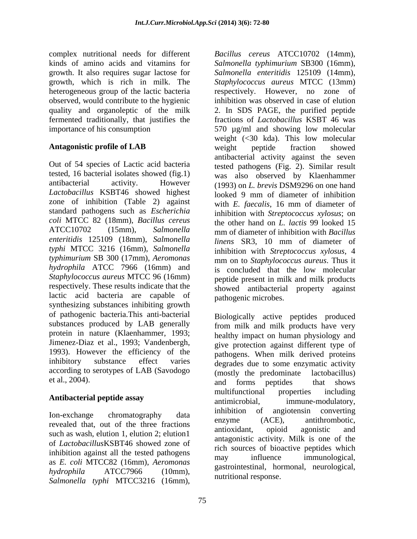growth. It also requires sugar lactose for observed, would contribute to the hygienic

Out of 54 species of Lactic acid bacteria tested, 16 bacterial isolates showed (fig.1) antibacterial activity. However (1993) on *L. brevis* DSM9296 on one hand *Lactobacillus* KSBT46 showed highest zone of inhibition (Table 2) against standard pathogens such as *Escherichia coli* MTCC 82 (18mm), *Bacillus cereus* the other hand on *L. lactis* 99 looked 15 ATCC10702 (15mm), *Salmonella*  mm of diameter of inhibition with *Bacillus enteritidis* 125109 (18mm), *Salmonella typhi* MTCC 3216 (16mm), *Salmonella typhimurium* SB 300 (17mm), *Aeromonas*  mm on to *Staphylococcus aureus*. Thus it *hydrophila* ATCC 7966 (16mm) and is concluded that the low molecular *Staphylococcus aureus* MTCC 96 (16mm) respectively. These results indicate that the lactic acid bacteria are capable of pathogenic microbes. synthesizing substances inhibiting growth of pathogenic bacteria.This anti-bacterial substances produced by LAB generally protein in nature (Klaenhammer, 1993; Jimenez-Diaz et al., 1993; Vandenbergh, give protection against different type of 1993). However the efficiency of the inhibitory substance effect varies degrades due to some enzymatic activity according to serotypes of LAB (Savodogo

revealed that, out of the three fractions<br>
antioxidant, opioid agonistic and<br>  $\frac{1}{1}$ such as wash, elution 1, elution 2; elution1 of *Lactobacillus*KSBT46 showed zone of inhibition against all the tested pathogens<br>may influence immunological, as *E. coli* MTCC82 (16mm), *Aeromonas Salmonella typhi* MTCC3216 (16mm),

75

complex nutritional needs for different *Bacillus cereus* ATCC10702 (14mm), kinds of amino acids and vitamins for *Salmonella typhimurium* SB300 (16mm), growth, which is rich in milk. The *Staphylococcus aureus* MTCC (13mm) heterogeneous group of the lactic bacteria respectively. However, no zone of quality and organoleptic of the milk 2. In SDS PAGE, the purified peptide fermented traditionally, that justifies the fractions of *Lactobacillus* KSBT 46 was importance of his consumption 570 µg/ml and showing low molecular **Antagonistic profile of LAB** weight peptide fraction showed *Salmonella enteritidis* 125109 (14mm), inhibition was observed in case of elution weight (<30 kda). This low molecular weight peptide fraction showed antibacterial activity against the seven tested pathogens (Fig. 2). Similar result was also observed by Klaenhammer looked 9 mm of diameter of inhibition with *E. faecalis*, 16 mm of diameter of inhibition with *Streptococcus xylosus*; on *linens* SR3, 10 mm of diameter of inhibition with *Streptococcus xylosus*, 4 peptide present in milk and milk products showed antibacterial property against

et al., 2004).  $\overrightarrow{a}$  and  $\overrightarrow{b}$  peptides that shows **Antibacterial peptide assay** multifunctional properties including<br>antimicrobial. immune-modulatory. Ion-exchange chromatography data minoritor of anglotensin converting *hydrophila* ATCC7966 (10mm), pathogenic microbes. Biologically active peptides produced from milk and milk products have very healthy impact on human physiology and pathogens. When milk derived proteins (mostly the predominate lactobacillus) and forms peptides that shows multifunctional properties including immune-modulatory, inhibition of angiotensin converting enzyme (ACE), antithrombotic, antioxidant, opioid agonistic and antagonistic activity. Milk is one of the rich sources of bioactive peptides which may influence immunological, gastrointestinal, hormonal, neurological, nutritional response.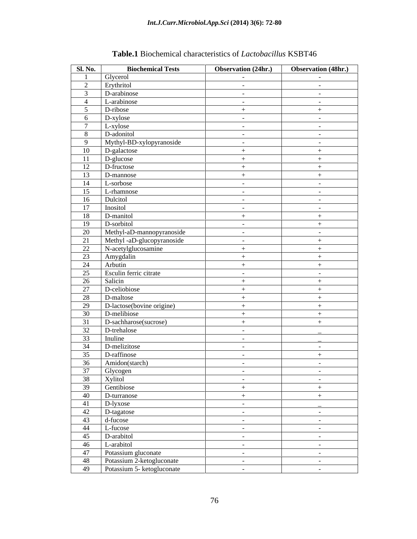| <b>Sl. No.</b> | <b>Biochemical Tests</b>   | Observation (24hr.)  | Observation (48hr.) |
|----------------|----------------------------|----------------------|---------------------|
|                | Glycerol                   | $\sim$ $ \sim$       | $\sim$ $-$          |
| 2              | Erythritol                 | $\sim$ $ \sim$       | $\sim$ $-$          |
|                | D-arabinose                | $\sim$ $-$           | $\sim$ $-$          |
| 4              | L-arabinose                | $\sim$ $ \sim$       | $\sim$ $ \sim$      |
| 5 <sup>5</sup> | D-ribose                   | $+$                  | $+$                 |
| 6              | D-xylose                   | $\sim$ $-$           | $\sim$ $-$          |
| $\mathcal{L}$  | L-xylose                   | $\sim$ $-$           | $\sim$ $-$          |
| 8              | D-adonitol                 | $\sim$ $-$           | $\sim$ $-$          |
| Q.             | Mythyl-BD-xylopyranoside   | $\sim$               | $\sim$ $-$          |
| 10             | D-galactose                | $+$                  | $+$                 |
| 11             | D-glucose                  | $+$                  | $+$                 |
| 12             | D-fructose                 |                      |                     |
|                |                            | $+$                  | $+$                 |
| 13             | D-mannose                  | $+$                  | $+$                 |
| 14             | L-sorbose                  | $\sim$ $ \sim$       | $\sim$ $-$          |
| 15             | L-rhamnose                 | $\sim$ $-$           | $\sim$ $-$          |
| 16             | Dulcitol                   | $\sim$ $ \sim$       | $\sim$ $-$          |
| 17             | Inositol                   | $\sim$ $ \sim$       | $\sim$ $-$          |
| 18             | D-manitol                  | $+$                  | $+$                 |
| 19             | D-sorbitol                 | $\sim$ $-$           | $+$                 |
| 20             | Methyl-aD-mannopyranoside  | $\sim$ $ \sim$       | $\sim$ $-$          |
| 21             | Methyl-aD-glucopyranoside  | $\sim 100$ m $^{-1}$ | $+$                 |
| 22             | N-acetylglucosamine        | $+$                  | $+$                 |
| 23             | Amygdalin                  | $+$                  | $+$                 |
| 24             | Arbutin                    | $+$                  | $+$                 |
| 25             | Esculin ferric citrate     | $\sim$ $ \sim$       | $\sim$ $-$          |
| 26             | Salicin                    | $+$                  | $+$                 |
| 27             | D-celiobiose               | $+$                  | $+$                 |
|                |                            |                      |                     |
| 28             | D-maltose                  | $+$                  | $+$                 |
| 29             | D-lactose(bovine origine)  | $+$                  | $+$                 |
| 30             | D-melibiose                | $+$                  | $+$                 |
| 31             | D-sachharose(sucrose)      | $+$                  | $+$                 |
| 32             | D-trehalose                | $\sim$ $ \sim$       |                     |
| 33             | Inuline                    | $\sim$ $-$           |                     |
| 34             | D-melizitose               | $\sim$ $-$           | $\sim$ $ \sim$      |
| 35             | D-raffinose                | $\sim$               | $+$                 |
| 36             | Amidon(starch)             | $\sim$               | $\sim$ $-$          |
| 37             |                            | $\sim$ $-$           | $\sim$ $ \sim$      |
| 38             | Glycogen<br>Xylitol        | $\sim 10^{-10}$      | $\sim$ $-$          |
| 39             | Gentibiose                 | $+$                  | $+$                 |
| 40             | D-turranose                | $+$                  | $+$                 |
| 41             | D-lyxose                   |                      |                     |
| 42             | D-tagatose                 | $\sim$ $-$           |                     |
|                |                            | $\sim 10^{-11}$      | $\sim 10^{-11}$     |
| 43             | d-fucose                   | $\sim$ $-$           | $\sim$ $ \sim$      |
| 44             | L-fucose                   | $\sim$ $-$           | $\sim 10^{-10}$     |
| 45             | D-arabitol                 | $\sim$ $-$           | $\sim$ $ \sim$      |
| 46             | L-arabitol                 | $\sim$ $ \sim$       | $\sim 10^{-11}$     |
| 47             | Potassium gluconate        | $\sim$ $ \sim$       | $\sim$ $-$          |
| 48             | Potassium 2-ketogluconate  | $\sim$ $ \sim$       | $\sim 100$          |
| 49             | Potassium 5- ketogluconate | $\sim$ $ \sim$       | $\sim$ $-$          |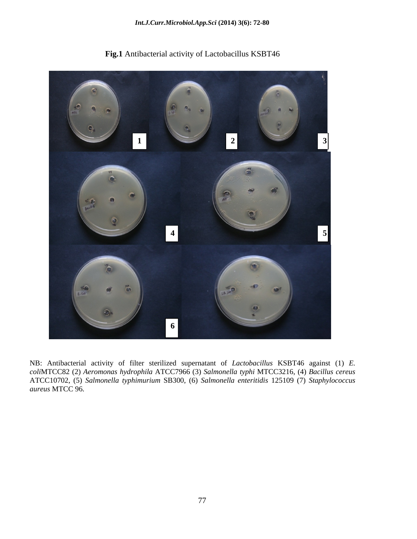

**Fig.1** Antibacterial activity of Lactobacillus KSBT46

NB: Antibacterial activity of filter sterilized supernatant of *Lactobacillus* KSBT46 against (1) *E. coli*MTCC82 (2) *Aeromonas hydrophila* ATCC7966 (3) *Salmonella typhi* MTCC3216, (4) *Bacillus cereus* ATCC10702, (5) *Salmonella typhimurium* SB300, (6) *Salmonella enteritidis* 125109 (7) *Staphylococcus aureus* MTCC 96.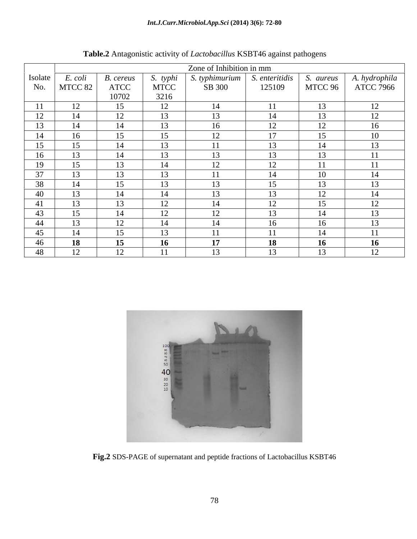| Zone of Inhibition in mm |                                   |                                |             |                                |                |           |                            |
|--------------------------|-----------------------------------|--------------------------------|-------------|--------------------------------|----------------|-----------|----------------------------|
| Isolate                  | E. coli                           | <b>B.</b> cereus               | S. typhi    | S. typhimurium                 | S. enteritidis | S. aureus | A. hydrophila<br>ATCC 7966 |
|                          | No.   MTCC 82 $\vert$             | ATCC                           | <b>MTCC</b> | SB 300                         | 125109         | MTCC 96   |                            |
|                          |                                   | 10702                          | 3216        |                                |                |           |                            |
| 11                       | 12                                | 15                             | 12          | 14                             |                | 13        | 12                         |
| 12                       | 14                                | 1 <sub>2</sub><br>12           | 13          | 13                             |                | 13        | 12                         |
| 13                       | 14                                | 14                             | 13          | 16                             |                | 12        | 16                         |
| 14                       | 16                                | 15                             | 15          | 12                             | $\overline{1}$ | 15        | 10                         |
| 15                       | 15                                | 14                             | 13          |                                |                | 14        | 13                         |
| 16                       | 1 <sub>2</sub><br>13 <sub>1</sub> | 14                             | 13          | 13                             |                | 13        | 11                         |
| 19                       | 15                                | 13                             | 14          | 12                             |                |           | 11                         |
| $\gamma$                 | $\sim$                            | $1^{\circ}$<br>15 <sub>1</sub> | 13          |                                |                | 10        |                            |
| 38                       | 14                                | 15                             | 13          | 13                             |                | 13        | 13                         |
| 40                       | 13                                | 14                             | 14          | 13                             | $1^{\circ}$    | 12        | 14                         |
| 41                       | 13                                | 13                             | 12          | 14                             |                | 15        | 12                         |
| 43                       | 15                                | 14                             | 12<br>12    | 12                             | ר ו            | 14        | 13                         |
| -44                      | 13                                | $1^{\circ}$<br>12 <sub>1</sub> | 14          | 14                             |                | 16        | 13                         |
| 45                       | 14                                | 15                             | 13          | 11                             | -4-4-          | 14        | 11                         |
| 46                       | 18                                | 15                             | 16          | 17                             |                | 16        | <b>16</b>                  |
| 48                       | $1^{\circ}$<br>$\mathbf{L}$       | $\mathsf{L}$                   |             | $1^{\circ}$<br>$\overline{15}$ |                | 13        | $1^{\circ}$<br>12          |

**Table.2** Antagonistic activity of *Lactobacillus* KSBT46 against pathogens



**Fig.2** SDS-PAGE of supernatant and peptide fractions of Lactobacillus KSBT46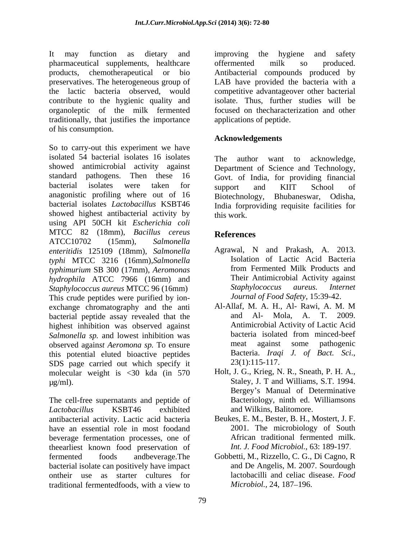It may function as dietary and improving the hygiene and safety pharmaceutical supplements, healthcare offermented milk so produced. products, chemotherapeutical or bio Antibacterial compounds produced by preservatives. The heterogeneous group of LAB have provided the bacteria with a the lactic bacteria observed, would competitive advantageover other bacterial contribute to the hygienic quality and organoleptic of the milk fermented traditionally, that justifies the importance of his consumption.

So to carry-out this experiment we have isolated 54 bacterial isolates 16 isolates The author want to acknowledge, showed antimicrobial activity against Department of Science and Technology, standard pathogens. Then these 16 Govt. of India, for providing financial bacterial isolates were taken for support and KIIT School of anagonistic profiling where out of 16 Biotechnology, Bhubaneswar, Odisha, bacterial isolates *Lactobacillus* KSBT46 India forproviding requisite facilities for showed highest antibacterial activity by this work. using API 50CH kit *Escherichia coli* MTCC 82 (18mm), *Bacillus cereus* ATCC10702 (15mm), *Salmonella enteritidis* 125109 (18mm), *Salmonella typhi* MTCC 3216 (16mm),*Salmonella* **11** Isolation of Lactic Acid Bacteria<br> *typhimurium* SB 300 (17mm) *Aeromonas* from Fermented Milk Products and *typhimurium* SB 300 (17mm), *Aeromonas hydrophila* ATCC 7966 (16mm) and Their Antimicrobial Activity against<br>Staphylococcus aureus MTCC 96 (16mm) Staphylococcus aureus. Internet *Staphylococcus aureus* MTCC 96 (16mm) This crude peptides were purified by ion-<br>exchange chromatography and the anti Al-Allaf, M. A. H., Al- Rawi, A. M. M exchange chromatography and the anti Al-Allaf, M. A. H., Al- Rawi, A. M. M<br>bacterial pentide assay revealed that the and Al- Mola. A. T. 2009. bacterial peptide assay revealed that the highest inhibition was observed against **Antimicrobial Activity of Lactic Acid**<br>Salmonella sp and lowest inhibition was **bacteria** isolated from minced-beef *Salmonella sp.* and lowest inhibition was bacteria isolated from minced-beef observed against *Aeromona sp.* To ensure meat against some pathogenic observed again*st Aeromona sp.* To ensure this potential eluted bioactive peptides<br>SDS page carried out which specify it 23(1):115-117. SDS page carried out which specify it molecular weight is <30 kda (in 570  $\mu$ g/ml). Staley, J. T and Williams, S.T. 1994.

The cell-free supernatants and peptide of *Lactobacillus* KSBT46 exhibited antibacterial activity. Lactic acid bacteria have an essential role in most foodand beverage fermentation processes, one of theearliest known food preservation of fermented foods andbeverage.The Gobbetti, M., Rizzello, C. G., Di Cagno, R bacterial isolate can positively have impact ontheir use as starter cultures for lactobacilli and celiac di-<br>traditional fermented foods, with a view to *Microbiol*., 24, 187–196. traditional fermentedfoods, with a view to *Microbiol.*, 24, 187–196.

improving the hygiene and safety offermented milk so produced. isolate. Thus, further studies will be focused on thecharacterization and other applications of peptide.

## **Acknowledgements**

The author want to acknowledge, support and KIIT School of Biotechnology, Bhubaneswar, Odisha, this work.

# **References**

- Agrawal, <sup>N</sup> and Prakash, A. 2013. Isolation of Lactic Acid Bacteria from Fermented Milk Products and Their Antimicrobial Activity against *Staphylococcus aureus. Internet Journal of Food Safety*, 15:39-42.
- Al-Allaf, M. A. H., Al- Rawi, A. M. M and Al- Mola, A. T. Antimicrobial Activity of Lactic Acid bacteria isolated from minced-beef meat against some pathogenic Bacteria. *Iraqi J. of Bact. Sci.*,
- Holt, J. G., Krieg, N. R., Sneath, P. H. A., Bergey's Manual of Determinative Bacteriology, ninth ed. Williamsons and Wilkins, Balitomore.
- Beukes, E. M., Bester, B. H., Mostert, J. F. 2001. The microbiology of South African traditional fermented milk. *Int. J. Food Microbiol.*, 63: 189-197.
- and De Angelis, M. 2007. Sourdough lactobacilli and celiac disease. *Food Microbiol.,* 24, 187–196.